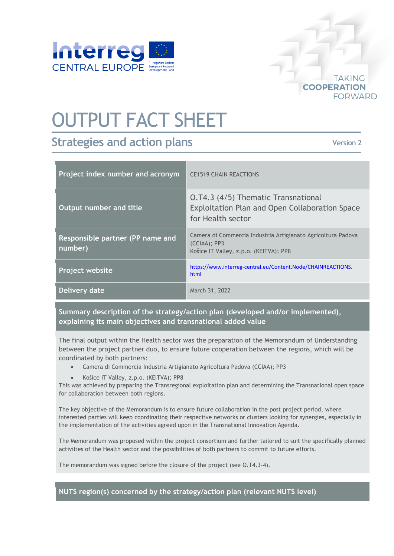

## OUTPUT FACT SHEET

## **Strategies and action plans**

**Version 2**

**TAKING** 

**FORWARD** 

**COOPERATION** 

| Project index number and acronym            | <b>CE1519 CHAIN REACTIONS</b>                                                                                             |
|---------------------------------------------|---------------------------------------------------------------------------------------------------------------------------|
| <b>Output number and title</b>              | 0.T4.3 (4/5) Thematic Transnational<br>Exploitation Plan and Open Collaboration Space<br>for Health sector                |
| Responsible partner (PP name and<br>number) | Camera di Commercia Industria Artigianato Agricoltura Padova<br>$(CCIAA)$ ; PP3<br>Košice IT Valley, z.p.o. (KEITVA); PP8 |
| Project website                             | https://www.interreg-central.eu/Content.Node/CHAINREACTIONS.<br>html                                                      |
| Delivery date                               | March 31, 2022                                                                                                            |

**Summary description of the strategy/action plan (developed and/or implemented), explaining its main objectives and transnational added value**

The final output within the Health sector was the preparation of the Memorandum of Understanding between the project partner duo, to ensure future cooperation between the regions, which will be coordinated by both partners:

- Camera di Commercia Industria Artigianato Agricoltura Padova (CCIAA); PP3
- Košice IT Valley, z.p.o. (KEITVA); PP8

This was achieved by preparing the Transregional exploitation plan and determining the Transnational open space for collaboration between both regions.

The key objective of the Memorandum is to ensure future collaboration in the post project period, where interested parties will keep coordinating their respective networks or clusters looking for synergies, especially in the implementation of the activities agreed upon in the Transnational Innovation Agenda.

The Memorandum was proposed within the project consortium and further tailored to suit the specifically planned activities of the Health sector and the possibilities of both partners to commit to future efforts.

The memorandum was signed before the closure of the project (see O.T4.3-4).

**NUTS region(s) concerned by the strategy/action plan (relevant NUTS level)**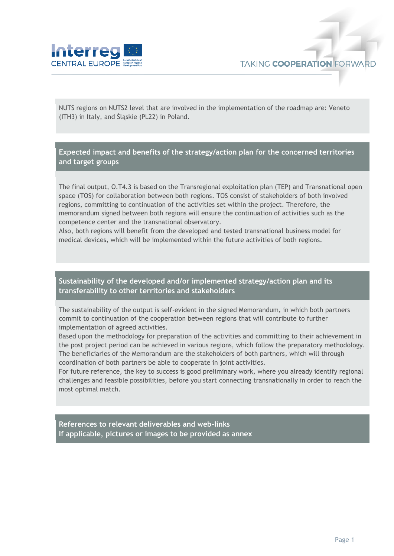

NUTS regions on NUTS2 level that are involved in the implementation of the roadmap are: Veneto (ITH3) in Italy, and Śląskie (PL22) in Poland.

**Expected impact and benefits of the strategy/action plan for the concerned territories and target groups**

The final output, O.T4.3 is based on the Transregional exploitation plan (TEP) and Transnational open space (TOS) for collaboration between both regions. TOS consist of stakeholders of both involved regions, committing to continuation of the activities set within the project. Therefore, the memorandum signed between both regions will ensure the continuation of activities such as the competence center and the transnational observatory.

Also, both regions will benefit from the developed and tested transnational business model for medical devices, which will be implemented within the future activities of both regions.

**Sustainability of the developed and/or implemented strategy/action plan and its transferability to other territories and stakeholders**

The sustainability of the output is self-evident in the signed Memorandum, in which both partners commit to continuation of the cooperation between regions that will contribute to further implementation of agreed activities.

Based upon the methodology for preparation of the activities and committing to their achievement in the post project period can be achieved in various regions, which follow the preparatory methodology. The beneficiaries of the Memorandum are the stakeholders of both partners, which will through coordination of both partners be able to cooperate in joint activities.

For future reference, the key to success is good preliminary work, where you already identify regional challenges and feasible possibilities, before you start connecting transnationally in order to reach the most optimal match.

**References to relevant deliverables and web-links If applicable, pictures or images to be provided as annex**